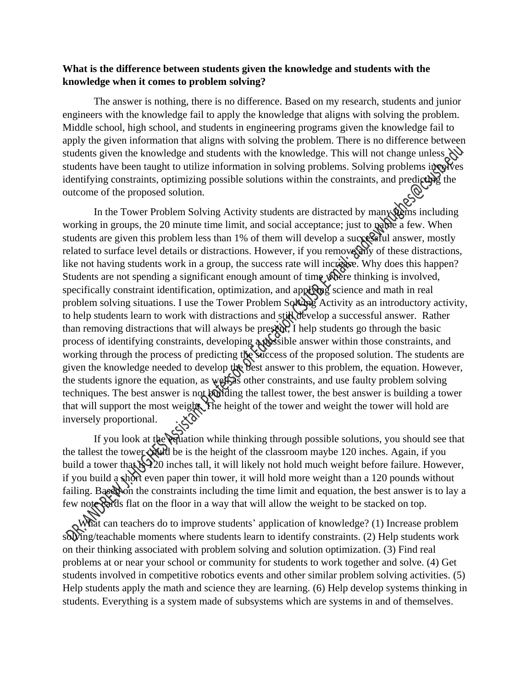## **What is the difference between students given the knowledge and students with the knowledge when it comes to problem solving?**

The answer is nothing, there is no difference. Based on my research, students and junior engineers with the knowledge fail to apply the knowledge that aligns with solving the problem. Middle school, high school, and students in engineering programs given the knowledge fail to apply the given information that aligns with solving the problem. There is no difference between students given the knowledge and students with the knowledge. This will not change unless students have been taught to utilize information in solving problems. Solving problems involves identifying constraints, optimizing possible solutions within the constraints, and predicting the outcome of the proposed solution.

In the Tower Problem Solving Activity students are distracted by many them including working in groups, the 20 minute time limit, and social acceptance; just to **patie** a few. When students are given this problem less than 1% of them will develop a successful answer, mostly related to surface level details or distractions. However, if you remove any of these distractions, like not having students work in a group, the success rate will increase. Why does this happen? Students are not spending a significant enough amount of time where thinking is involved, specifically constraint identification, optimization, and applying science and math in real problem solving situations. I use the Tower Problem Solving Activity as an introductory activity, to help students learn to work with distractions and still develop a successful answer. Rather than removing distractions that will always be present. I help students go through the basic process of identifying constraints, developing a possible answer within those constraints, and working through the process of predicting the success of the proposed solution. The students are given the knowledge needed to develop the best answer to this problem, the equation. However, the students ignore the equation, as well as other constraints, and use faulty problem solving techniques. The best answer is not building the tallest tower, the best answer is building a tower that will support the most weight. The height of the tower and weight the tower will hold are inversely proportional.

If you look at the equation while thinking through possible solutions, you should see that the tallest the tower could be is the height of the classroom maybe 120 inches. Again, if you build a tower that  $\frac{1}{2}$  inches tall, it will likely not hold much weight before failure. However, if you build a short even paper thin tower, it will hold more weight than a 120 pounds without failing. Based on the constraints including the time limit and equation, the best answer is to lay a few note cards flat on the floor in a way that will allow the weight to be stacked on top.

What can teachers do to improve students' application of knowledge? (1) Increase problem solving/teachable moments where students learn to identify constraints. (2) Help students work on their thinking associated with problem solving and solution optimization. (3) Find real problems at or near your school or community for students to work together and solve. (4) Get students involved in competitive robotics events and other similar problem solving activities. (5) Help students apply the math and science they are learning. (6) Help develop systems thinking in students. Everything is a system made of subsystems which are systems in and of themselves.